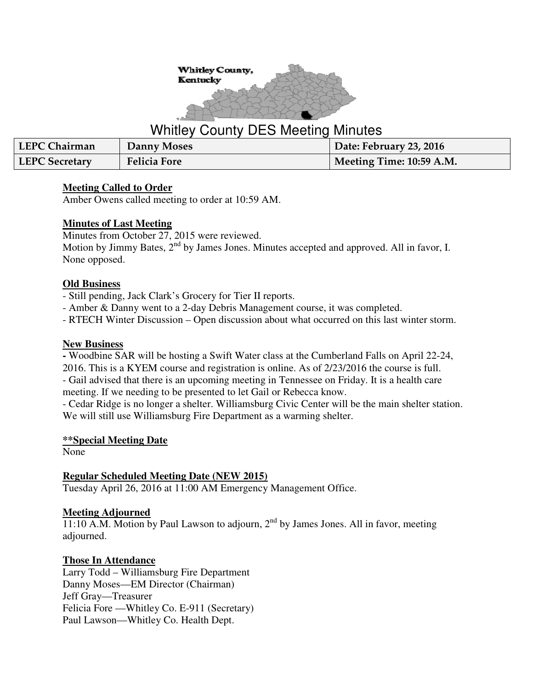

# Whitley County DES Meeting Minutes

| LEPC Chairman  | Danny Moses         | Date: February 23, 2016  |
|----------------|---------------------|--------------------------|
| LEPC Secretary | <b>Felicia Fore</b> | Meeting Time: 10:59 A.M. |

## **Meeting Called to Order**

Amber Owens called meeting to order at 10:59 AM.

#### **Minutes of Last Meeting**

Minutes from October 27, 2015 were reviewed. Motion by Jimmy Bates,  $2<sup>nd</sup>$  by James Jones. Minutes accepted and approved. All in favor, I. None opposed.

#### **Old Business**

- Still pending, Jack Clark's Grocery for Tier II reports.

- Amber & Danny went to a 2-day Debris Management course, it was completed.

- RTECH Winter Discussion – Open discussion about what occurred on this last winter storm.

#### **New Business**

**-** Woodbine SAR will be hosting a Swift Water class at the Cumberland Falls on April 22-24, 2016. This is a KYEM course and registration is online. As of 2/23/2016 the course is full.

- Gail advised that there is an upcoming meeting in Tennessee on Friday. It is a health care meeting. If we needing to be presented to let Gail or Rebecca know.

- Cedar Ridge is no longer a shelter. Williamsburg Civic Center will be the main shelter station. We will still use Williamsburg Fire Department as a warming shelter.

#### **\*\*Special Meeting Date**

None

## **Regular Scheduled Meeting Date (NEW 2015)**

Tuesday April 26, 2016 at 11:00 AM Emergency Management Office.

## **Meeting Adjourned**

 $11:10$  A.M. Motion by Paul Lawson to adjourn,  $2<sup>nd</sup>$  by James Jones. All in favor, meeting adjourned.

## **Those In Attendance**

Larry Todd – Williamsburg Fire Department Danny Moses—EM Director (Chairman) Jeff Gray—Treasurer Felicia Fore —Whitley Co. E-911 (Secretary) Paul Lawson—Whitley Co. Health Dept.